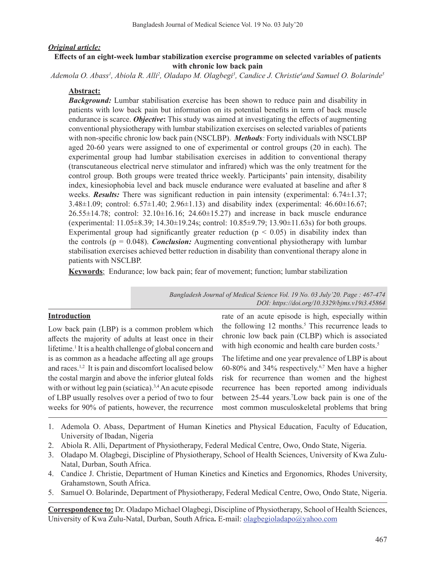### *Original article:*

## **Effects of an eight-week lumbar stabilization exercise programme on selected variables of patients with chronic low back pain**

Ademola O. Abass<sup>1</sup>, Abiola R. Alli<sup>2</sup>, Oladapo M. Olagbegi<sup>3</sup>, Candice J. Christie<sup>4</sup>and Samuel O. Bolarinde<sup>5</sup>

### **Abstract:**

*Background:* Lumbar stabilisation exercise has been shown to reduce pain and disability in patients with low back pain but information on its potential benefits in term of back muscle endurance is scarce. *Objective***:** This study was aimed at investigating the effects of augmenting conventional physiotherapy with lumbar stabilization exercises on selected variables of patients with non-specific chronic low back pain (NSCLBP). *Methods:* Forty individuals with NSCLBP aged 20-60 years were assigned to one of experimental or control groups (20 in each). The experimental group had lumbar stabilisation exercises in addition to conventional therapy (transcutaneous electrical nerve stimulator and infrared) which was the only treatment for the control group. Both groups were treated thrice weekly. Participants' pain intensity, disability index, kinesiophobia level and back muscle endurance were evaluated at baseline and after 8 weeks. *Results:* There was significant reduction in pain intensity (experimental: 6.74 $\pm$ 1.37; 3.48±1.09; control: 6.57±1.40; 2.96±1.13) and disability index (experimental: 46.60±16.67;  $26.55\pm14.78$ ; control:  $32.10\pm16.16$ ;  $24.60\pm15.27$ ) and increase in back muscle endurance (experimental: 11.05±8.39; 14.30±19.24s; control: 10.85±9.79; 13.90±11.63s) for both groups. Experimental group had significantly greater reduction ( $p < 0.05$ ) in disability index than the controls ( $p = 0.048$ ). *Conclusion:* Augmenting conventional physiotherapy with lumbar stabilisation exercises achieved better reduction in disability than conventional therapy alone in patients with NSCLBP.

**Keywords**: Endurance; low back pain; fear of movement; function; lumbar stabilization

*Bangladesh Journal of Medical Science Vol. 19 No. 03 July'20. Page : 467-474 DOI: https://doi.org/10.3329/bjms.v19i3.45864*

## **Introduction**

Low back pain (LBP) is a common problem which affects the majority of adults at least once in their lifetime.<sup>1</sup> It is a health challenge of global concern and is as common as a headache affecting all age groups and races.1,2 It is pain and discomfort localised below the costal margin and above the inferior gluteal folds with or without leg pain (sciatica).<sup>3,4</sup> An acute episode of LBP usually resolves over a period of two to four weeks for 90% of patients, however, the recurrence rate of an acute episode is high, especially within the following 12 months.<sup>5</sup> This recurrence leads to chronic low back pain (CLBP) which is associated with high economic and health care burden costs.<sup>5</sup>

The lifetime and one year prevalence of LBP is about 60-80% and 34% respectively.6,7 Men have a higher risk for recurrence than women and the highest recurrence has been reported among individuals between 25-44 years.<sup>7</sup>Low back pain is one of the most common musculoskeletal problems that bring

- 1. Ademola O. Abass, Department of Human Kinetics and Physical Education, Faculty of Education, University of Ibadan, Nigeria
- 2. Abiola R. Alli, Department of Physiotherapy, Federal Medical Centre, Owo, Ondo State, Nigeria.
- 3. Oladapo M. Olagbegi, Discipline of Physiotherapy, School of Health Sciences, University of Kwa Zulu-Natal, Durban, South Africa.
- 4. Candice J. Christie, Department of Human Kinetics and Kinetics and Ergonomics, Rhodes University, Grahamstown, South Africa.
- 5. Samuel O. Bolarinde, Department of Physiotherapy, Federal Medical Centre, Owo, Ondo State, Nigeria.

**Correspondence to:** Dr. Oladapo Michael Olagbegi, Discipline of Physiotherapy, School of Health Sciences, University of Kwa Zulu-Natal, Durban, South Africa**.** E-mail: olagbegioladapo@yahoo.com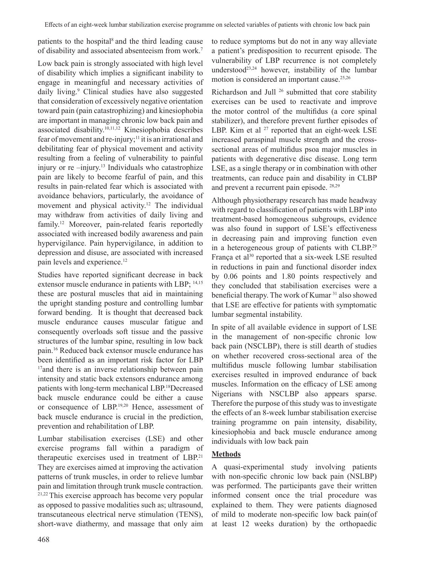patients to the hospital<sup>8</sup> and the third leading cause of disability and associated absenteeism from work.7

Low back pain is strongly associated with high level of disability which implies a significant inability to engage in meaningful and necessary activities of daily living.<sup>9</sup> Clinical studies have also suggested that consideration of excessively negative orientation toward pain (pain catastrophizing) and kinesiophobia are important in managing chronic low back pain and associated disability.10,11,12 Kinesiophobia describes fear of movement and re-injury;<sup>11</sup> it is an irrational and debilitating fear of physical movement and activity resulting from a feeling of vulnerability to painful injury or re -injury.<sup>13</sup> Individuals who catastrophize pain are likely to become fearful of pain, and this results in pain-related fear which is associated with avoidance behaviors, particularly, the avoidance of movement and physical activity.<sup>12</sup> The individual may withdraw from activities of daily living and family.12 Moreover, pain-related fearis reportedly associated with increased bodily awareness and pain hypervigilance. Pain hypervigilance, in addition to depression and disuse, are associated with increased pain levels and experience.<sup>12</sup>

Studies have reported significant decrease in back extensor muscle endurance in patients with LBP; 14,15 these are postural muscles that aid in maintaining the upright standing posture and controlling lumbar forward bending. It is thought that decreased back muscle endurance causes muscular fatigue and consequently overloads soft tissue and the passive structures of the lumbar spine, resulting in low back pain.16 Reduced back extensor muscle endurance has been identified as an important risk factor for LBP <sup>17</sup>and there is an inverse relationship between pain intensity and static back extensors endurance among patients with long-term mechanical LBP.18Decreased back muscle endurance could be either a cause or consequence of LBP.19,20 Hence, assessment of back muscle endurance is crucial in the prediction, prevention and rehabilitation of LBP.

Lumbar stabilisation exercises (LSE) and other exercise programs fall within a paradigm of therapeutic exercises used in treatment of LBP.<sup>21</sup> They are exercises aimed at improving the activation patterns of trunk muscles, in order to relieve lumbar pain and limitation through trunk muscle contraction. 21,22 This exercise approach has become very popular as opposed to passive modalities such as; ultrasound, transcutaneous electrical nerve stimulation (TENS), short-wave diathermy, and massage that only aim to reduce symptoms but do not in any way alleviate a patient's predisposition to recurrent episode. The vulnerability of LBP recurrence is not completely understood<sup>23,24</sup> however, instability of the lumbar motion is considered an important cause.25,26

Richardson and Jull <sup>26</sup> submitted that core stability exercises can be used to reactivate and improve the motor control of the multifidus (a core spinal stabilizer), and therefore prevent further episodes of LBP. Kim et al  $^{27}$  reported that an eight-week LSE increased paraspinal muscle strength and the crosssectional areas of multifidus psoa major muscles in patients with degenerative disc disease. Long term LSE, as a single therapy or in combination with other treatments, can reduce pain and disability in CLBP and prevent a recurrent pain episode. 28,29

Although physiotherapy research has made headway with regard to classification of patients with LBP into treatment-based homogeneous subgroups, evidence was also found in support of LSE's effectiveness in decreasing pain and improving function even in a heterogeneous group of patients with CLBP.<sup>29</sup> França et al<sup>30</sup> reported that a six-week LSE resulted in reductions in pain and functional disorder index by 0.06 points and 1.80 points respectively and they concluded that stabilisation exercises were a beneficial therapy. The work of Kumar <sup>31</sup> also showed that LSE are effective for patients with symptomatic lumbar segmental instability.

In spite of all available evidence in support of LSE in the management of non-specific chronic low back pain (NSCLBP), there is still dearth of studies on whether recovered cross-sectional area of the multifidus muscle following lumbar stabilisation exercises resulted in improved endurance of back muscles. Information on the efficacy of LSE among Nigerians with NSCLBP also appears sparse. Therefore the purpose of this study was to investigate the effects of an 8-week lumbar stabilisation exercise training programme on pain intensity, disability, kinesiophobia and back muscle endurance among individuals with low back pain

# **Methods**

A quasi-experimental study involving patients with non-specific chronic low back pain (NSLBP) was performed. The participants gave their written informed consent once the trial procedure was explained to them. They were patients diagnosed of mild to moderate non-specific low back pain(of at least 12 weeks duration) by the orthopaedic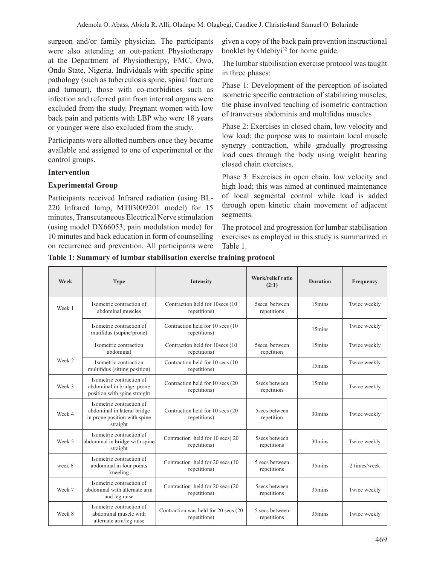surgeon and/or family physician. The participants were also attending an out-patient Physiotherapy at the Department of Physiotherapy, FMC, Owo, Ondo State, Nigeria. Individuals with specific spine pathology (such as tuberculosis spine, spinal fracture and tumour), those with co-morbidities such as infection and referred pain from internal organs were excluded from the study. Pregnant women with low back pain and patients with LBP who were 18 years or younger were also excluded from the study.

Participants were allotted numbers once they became available and assigned to one of experimental or the control groups.

## **Intervention**

## **Experimental Group**

Participants received Infrared radiation (using BL-220 Infrared lamp, MT03009201 model) for 15 minutes,Transcutaneous Electrical Nerve stimulation (using model DX66053, pain modulation mode) for 10 minutes and back education in form of counselling on recurrence and prevention. All participants were

given a copy of the back pain prevention instructional booklet by Odebiyi<sup>32</sup> for home guide.

The lumbar stabilisation exercise protocol was taught in three phases:

Phase 1: Development of the perception of isolated isometric specific contraction of stabilizing muscles; the phase involved teaching of isometric contraction of tranversus abdominis and multifidus muscles

Phase 2: Exercises in closed chain, low velocity and low load; the purpose was to maintain local muscle synergy contraction, while gradually progressing load cues through the body using weight bearing closed chain exercises.

Phase 3: Exercises in open chain, low velocity and high load; this was aimed at continued maintenance of local segmental control while load is added through open kinetic chain movement of adjacent segments.

The protocol and progression for lumbar stabilisation exercises as employed in this study is summarized in Table 1.

| Table 1: Summary of lumbar stabilisation exercise training protocol |  |  |  |  |  |  |  |  |
|---------------------------------------------------------------------|--|--|--|--|--|--|--|--|
|---------------------------------------------------------------------|--|--|--|--|--|--|--|--|

| Week   | <b>Type</b>                                                                                         | Intensity                                            | Work/relief ratio<br>(2:1)    | <b>Duration</b>    | Frequency    |
|--------|-----------------------------------------------------------------------------------------------------|------------------------------------------------------|-------------------------------|--------------------|--------------|
| Week 1 | Isometric contraction of<br>abdominal muscles                                                       | Contraction held for 10secs (10)<br>repetitions)     | Ssecs, between<br>repetitions | 15 <sub>mins</sub> | Twice weekly |
|        | Isometric contraction of<br>mutifidus (supine/prone)                                                | Contraction held for 10 secs (10)<br>repetitions)    |                               | 15 <sub>mins</sub> | Twice weekly |
|        | Isometric contraction<br>abdominal                                                                  | Contraction held for 10secs (10)<br>repetitions)     | 5secs. between<br>repetition  | 15mins             | Twice weekly |
| Week 2 | Isometric contraction<br>multifidus (sitting position)                                              | Contraction held for 10 secs (10<br>repetitions)     |                               | 15 <sub>mins</sub> | Twice weekly |
| Week 3 | Isometric contraction of<br>abdominal in bridge prone<br>position with spine straight               | Contraction held for 10 secs (20<br>repetitions)     | 5secs between<br>repetition   | 15mins             | Twice weekly |
| Week 4 | Isometric contraction of<br>abdominal in lateral bridge<br>in prone position with spine<br>straight | Contraction held for 10 secs (20<br>repetitions)     | 5secs between<br>repetition   | 30mins             | Twice weekly |
| Week 5 | Isometric contraction of<br>abdominal in bridge with spine<br>straight                              | Contraction held for 10 secs(20<br>repetitions)      | Ssecs between<br>repetitions  | $30 \text{mins}$   | Twice weekly |
| week 6 | Isometric contraction of<br>abdominal in four points<br>kneeling                                    | Contraction held for 20 secs (10)<br>repetitions)    | 5 secs between<br>repetitions | 35mins             | 2 times/week |
| Week 7 | Isometric contraction of<br>abdominal with alternate arm<br>and leg raise                           | Contraction held for 20 secs (20<br>repetitions)     | 5secs between<br>repetitions  | 35mins             | Twice weekly |
| Week 8 | Isometric contraction of<br>abdominal muscle with<br>alternate arm/leg raise                        | Contraction was held for 20 secs (20<br>repetitions) | 5 secs between<br>repetitions | 35mins             | Twice weekly |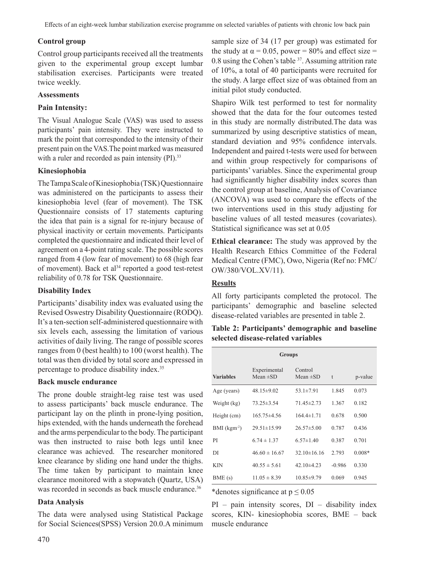# **Control group**

Control group participants received all the treatments given to the experimental group except lumbar stabilisation exercises. Participants were treated twice weekly.

### **Assessments**

## **Pain Intensity:**

The Visual Analogue Scale (VAS) was used to assess participants' pain intensity. They were instructed to mark the point that corresponded to the intensity of their present pain on the VAS.The point marked was measured with a ruler and recorded as pain intensity (PI).<sup>33</sup>

## **Kinesiophobia**

TheTampaScaleofKinesiophobia (TSK)Questionnaire was administered on the participants to assess their kinesiophobia level (fear of movement). The TSK Questionnaire consists of 17 statements capturing the idea that pain is a signal for re-injury because of physical inactivity or certain movements. Participants completed the questionnaire and indicated their level of agreement on a 4-point rating scale. The possible scores ranged from 4 (low fear of movement) to 68 (high fear of movement). Back et al<sup>34</sup> reported a good test-retest reliability of 0.78 for TSK Questionnaire.

## **Disability Index**

Participants' disability index was evaluated using the Revised Oswestry Disability Questionnaire (RODQ). It's a ten-section self-administered questionnaire with six levels each, assessing the limitation of various activities of daily living. The range of possible scores ranges from 0 (best health) to 100 (worst health). The total was then divided by total score and expressed in percentage to produce disability index.<sup>35</sup>

## **Back muscle endurance**

The prone double straight-leg raise test was used to assess participants' back muscle endurance. The participant lay on the plinth in prone-lying position, hips extended, with the hands underneath the forehead and the arms perpendicular to the body. The participant was then instructed to raise both legs until knee clearance was achieved. The researcher monitored knee clearance by sliding one hand under the thighs. The time taken by participant to maintain knee clearance monitored with a stopwatch (Quartz, USA) was recorded in seconds as back muscle endurance.<sup>36</sup>

## **Data Analysis**

The data were analysed using Statistical Package for Social Sciences(SPSS) Version 20.0.A minimum

sample size of 34 (17 per group) was estimated for the study at  $\alpha = 0.05$ , power = 80% and effect size = 0.8 using the Cohen's table <sup>37</sup>. Assuming attrition rate of 10%, a total of 40 participants were recruited for the study. A large effect size of was obtained from an initial pilot study conducted.

Shapiro Wilk test performed to test for normality showed that the data for the four outcomes tested in this study are normally distributed.The data was summarized by using descriptive statistics of mean, standard deviation and 95% confidence intervals. Independent and paired t-tests were used for between and within group respectively for comparisons of participants' variables. Since the experimental group had significantly higher disability index scores than the control group at baseline, Analysis of Covariance (ANCOVA) was used to compare the effects of the two interventions used in this study adjusting for baseline values of all tested measures (covariates). Statistical significance was set at 0.05

**Ethical clearance:** The study was approved by the Health Research Ethics Committee of the Federal Medical Centre (FMC), Owo, Nigeria (Ref no: FMC/ OW/380/VOL.XV/11).

## **Results**

All forty participants completed the protocol. The participants' demographic and baseline selected disease-related variables are presented in table 2.

**Table 2: Participants' demographic and baseline selected disease-related variables**

| <b>Groups</b>              |                               |                          |          |          |  |  |
|----------------------------|-------------------------------|--------------------------|----------|----------|--|--|
| <b>Variables</b>           | Experimental<br>Mean $\pm$ SD | Control<br>Mean $\pm SD$ | t        | p-value  |  |  |
| Age (years)                | $48.15 \pm 9.02$              | $53.1 \pm 7.91$          | 1.845    | 0.073    |  |  |
| Weight (kg)                | $73.25 \pm 3.54$              | $71.45 \pm 2.73$         | 1.367    | 0.182    |  |  |
| Height (cm)                | $165.75 \pm 4.56$             | $164.4 \pm 1.71$         | 0.678    | 0.500    |  |  |
| $BMI$ (kgm <sup>-2</sup> ) | $29.51 \pm 15.99$             | $26.57\pm5.00$           | 0.787    | 0.436    |  |  |
| PI                         | $6.74 \pm 1.37$               | $6.57 \pm 1.40$          | 0.387    | 0.701    |  |  |
| DI                         | $46.60 \pm 16.67$             | $32.10\pm16.16$          | 2.793    | $0.008*$ |  |  |
| <b>KIN</b>                 | $40.55 \pm 5.61$              | $42.10\pm4.23$           | $-0.986$ | 0.330    |  |  |
| BME(s)                     | $11.05 \pm 8.39$              | $10.85 \pm 9.79$         | 0.069    | 0.945    |  |  |

\*denotes significance at  $p \le 0.05$ 

 $PI$  – pain intensity scores,  $DI$  – disability index scores, KIN- kinesiophobia scores, BME – back muscle endurance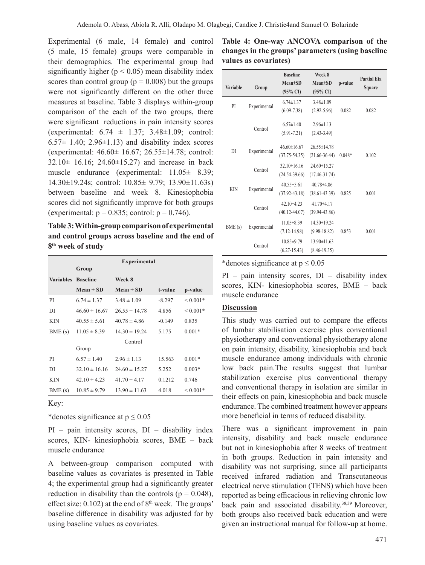Experimental (6 male, 14 female) and control (5 male, 15 female) groups were comparable in their demographics. The experimental group had significantly higher ( $p < 0.05$ ) mean disability index scores than control group ( $p = 0.008$ ) but the groups were not significantly different on the other three measures at baseline. Table 3 displays within-group comparison of the each of the two groups, there were significant reductions in pain intensity scores (experimental:  $6.74 \pm 1.37$ ;  $3.48 \pm 1.09$ ; control:  $6.57\pm 1.40$ ;  $2.96\pm 1.13$ ) and disability index scores (experimental: 46.60± 16.67; 26.55±14.78; control: 32.10± 16.16; 24.60±15.27) and increase in back muscle endurance (experimental: 11.05± 8.39; 14.30±19.24s; control: 10.85± 9.79; 13.90±11.63s) between baseline and week 8. Kinesiophobia scores did not significantly improve for both groups (experimental:  $p = 0.835$ ; control:  $p = 0.746$ ).

**Table 3: Within-group comparison of experimental and control groups across baseline and the end of 8th week of study** 

| <b>Experimental</b>                           |                   |          |                    |  |
|-----------------------------------------------|-------------------|----------|--------------------|--|
| Group                                         |                   |          |                    |  |
| <b>Variables</b><br><b>Baseline</b><br>Week 8 |                   |          |                    |  |
| $Mean \pm SD$                                 | $Mean \pm SD$     | t-value  | p-value            |  |
| $6.74 \pm 1.37$                               | $3.48 \pm 1.09$   | $-8.297$ | $< 0.001*$         |  |
| $46.60 \pm 16.67$                             | $26.55 \pm 14.78$ | 4.856    | $< 0.001*$         |  |
| $40.55 \pm 5.61$                              | $40.78 \pm 4.86$  | $-0.149$ | 0.835              |  |
| $11.05 \pm 8.39$                              | $14.30 \pm 19.24$ | 5.175    | $0.001*$           |  |
|                                               | Control           |          |                    |  |
| Group                                         |                   |          |                    |  |
| $6.57 \pm 1.40$                               | $2.96 \pm 1.13$   | 15.563   | $0.001*$           |  |
| $32.10 \pm 16.16$                             | $24.60 \pm 15.27$ | 5.252    | $0.003*$           |  |
| $42.10 \pm 4.23$                              | $41.70 \pm 4.17$  | 0.1212   | 0.746              |  |
| $10.85 \pm 9.79$                              | $13.90 \pm 11.63$ | 4.018    | ${}_{\leq 0.001*}$ |  |
|                                               |                   |          |                    |  |

Key:

\*denotes significance at  $p \le 0.05$ 

 $PI$  – pain intensity scores,  $DI$  – disability index scores, KIN- kinesiophobia scores, BME – back muscle endurance

A between-group comparison computed with baseline values as covariates is presented in Table 4; the experimental group had a significantly greater reduction in disability than the controls ( $p = 0.048$ ), effect size:  $0.102$ ) at the end of  $8<sup>th</sup>$  week. The groups' baseline difference in disability was adjusted for by using baseline values as covariates.

| Table 4: One-way ANCOVA comparison of the         |  |
|---------------------------------------------------|--|
| changes in the groups' parameters (using baseline |  |
| values as covariates)                             |  |

| <b>Variable</b> | Group        | <b>Baseline</b><br><b>Mean</b> ±SD<br>$(95\% \text{ CI})$ | Week 8<br><b>Mean</b> ±SD<br>$(95\% \text{ CI})$ | p-value  | <b>Partial Eta</b><br>Square |
|-----------------|--------------|-----------------------------------------------------------|--------------------------------------------------|----------|------------------------------|
| PI              | Experimental | $6.74 \pm 1.37$<br>$(6.09 - 7.38)$                        | $3.48 \pm 1.09$<br>$(2.92 - 5.96)$               | 0.082    | 0.082                        |
|                 | Control      | $6.57 \pm 1.40$<br>$(5.91 - 7.21)$                        | $2.96 \pm 1.13$<br>$(2.43 - 3.49)$               |          |                              |
| DI              | Experimental | $46.60 \pm 16.67$<br>$(37.75 - 54.35)$                    | $26.55 \pm 14.78$<br>$(21.66 - 36.44)$           | $0.048*$ | 0.102                        |
|                 | Control      | $32.10 \pm 16.16$<br>$(24.54-39.66)$                      | 24.60±15.27<br>$(17.46 - 31.74)$                 |          |                              |
| <b>KIN</b>      | Experimental | $40.55 \pm 5.61$<br>$(37.92 - 43.18)$                     | 40.78±4.86<br>$(38.61 - 43.39)$                  | 0.825    | 0.001                        |
|                 | Control      | $42.10\pm4.23$<br>$(40.12 - 44.07)$                       | $41.70 + 4.17$<br>$(39.94 - 43.86)$              |          |                              |
| BME(s)          | Experimental | $11.05 \pm 8.39$<br>$(7.12 - 14.98)$                      | $14.30 \pm 19.24$<br>$(9.98 - 18.82)$            | 0.853    | 0.001                        |
|                 | Control      | $10.85 \pm 9.79$<br>$(6.27 - 15.43)$                      | $13.90 \pm 11.63$<br>$(8.46 - 19.35)$            |          |                              |

\*denotes significance at  $p \le 0.05$ 

PI – pain intensity scores, DI – disability index scores, KIN- kinesiophobia scores, BME – back muscle endurance

#### **Discussion**

This study was carried out to compare the effects of lumbar stabilisation exercise plus conventional physiotherapy and conventional physiotherapy alone on pain intensity, disability, kinesiophobia and back muscle endurance among individuals with chronic low back pain.The results suggest that lumbar stabilization exercise plus conventional therapy and conventional therapy in isolation are similar in their effects on pain, kinesiophobia and back muscle endurance. The combined treatment however appears more beneficial in terms of reduced disability.

There was a significant improvement in pain intensity, disability and back muscle endurance but not in kinesiophobia after 8 weeks of treatment in both groups. Reduction in pain intensity and disability was not surprising, since all participants received infrared radiation and Transcutaneous electrical nerve stimulation (TENS) which have been reported as being efficacious in relieving chronic low back pain and associated disability.38,39 Moreover, both groups also received back education and were given an instructional manual for follow-up at home.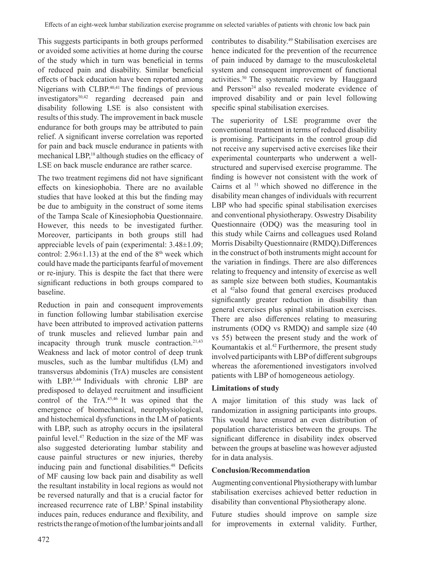This suggests participants in both groups performed or avoided some activities at home during the course of the study which in turn was beneficial in terms of reduced pain and disability. Similar beneficial effects of back education have been reported among Nigerians with CLBP.<sup>40,41</sup> The findings of previous  $investigators<sup>30,42</sup>$  regarding decreased pain and disability following LSE is also consistent with results of this study. The improvement in back muscle endurance for both groups may be attributed to pain relief. A significant inverse correlation was reported for pain and back muscle endurance in patients with mechanical LBP,<sup>18</sup> although studies on the efficacy of LSE on back muscle endurance are rather scarce.

The two treatment regimens did not have significant effects on kinesiophobia. There are no available studies that have looked at this but the finding may be due to ambiguity in the construct of some items of the Tampa Scale of Kinesiophobia Questionnaire. However, this needs to be investigated further. Moreover, participants in both groups still had appreciable levels of pain (experimental: 3.48±1.09; control:  $2.96\pm1.13$ ) at the end of the 8<sup>th</sup> week which could have made the participants fearful of movement or re-injury. This is despite the fact that there were significant reductions in both groups compared to baseline.

Reduction in pain and consequent improvements in function following lumbar stabilisation exercise have been attributed to improved activation patterns of trunk muscles and relieved lumbar pain and incapacity through trunk muscle contraction. $21,43$ Weakness and lack of motor control of deep trunk muscles, such as the lumbar multifidus (LM) and transversus abdominis (TrA) muscles are consistent with LBP.5,44 Individuals with chronic LBP are predisposed to delayed recruitment and insufficient control of the TrA.45,46 It was opined that the emergence of biomechanical, neurophysiological, and histochemical dysfunctions in the LM of patients with LBP, such as atrophy occurs in the ipsilateral painful level.47 Reduction in the size of the MF was also suggested deteriorating lumbar stability and cause painful structures or new injuries, thereby inducing pain and functional disabilities.<sup>48</sup> Deficits of MF causing low back pain and disability as well the resultant instability in local regions as would not be reversed naturally and that is a crucial factor for increased recurrence rate of LBP.<sup>5</sup> Spinal instability induces pain, reduces endurance and flexibility, and restricts the range of motion of the lumbar joints and all

contributes to disability.49 Stabilisation exercises are hence indicated for the prevention of the recurrence of pain induced by damage to the musculoskeletal system and consequent improvement of functional activities.50 The systematic review by Hauggaard and Persson<sup>24</sup> also revealed moderate evidence of improved disability and or pain level following specific spinal stabilisation exercises.

The superiority of LSE programme over the conventional treatment in terms of reduced disability is promising. Participants in the control group did not receive any supervised active exercises like their experimental counterparts who underwent a wellstructured and supervised exercise programme. The finding is however not consistent with the work of Cairns et al 51 which showed no difference in the disability mean changes of individuals with recurrent LBP who had specific spinal stabilisation exercises and conventional physiotherapy. Oswestry Disability Questionnaire (ODQ) was the measuring tool in this study while Cairns and colleagues used Roland Morris Disabilty Questionnaire (RMDQ).Differences in the construct of both instruments might account for the variation in findings. There are also differences relating to frequency and intensity of exercise as well as sample size between both studies, Koumantakis et al 42also found that general exercises produced significantly greater reduction in disability than general exercises plus spinal stabilisation exercises. There are also differences relating to measuring instruments (ODQ vs RMDQ) and sample size (40 vs 55) between the present study and the work of Koumantakis et al.<sup>42</sup> Furthermore, the present study involved participants with LBP of different subgroups whereas the aforementioned investigators involved patients with LBP of homogeneous aetiology.

## **Limitations of study**

A major limitation of this study was lack of randomization in assigning participants into groups. This would have ensured an even distribution of population characteristics between the groups. The significant difference in disability index observed between the groups at baseline was however adjusted for in data analysis.

## **Conclusion/Recommendation**

Augmenting conventional Physiotherapy with lumbar stabilisation exercises achieved better reduction in disability than conventional Physiotherapy alone.

Future studies should improve on sample size for improvements in external validity. Further,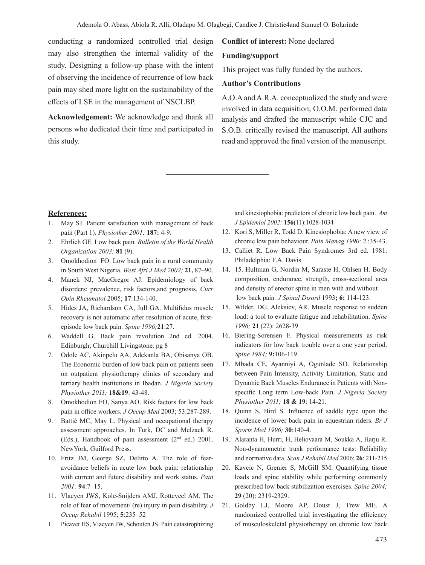conducting a randomized controlled trial design may also strengthen the internal validity of the study. Designing a follow-up phase with the intent of observing the incidence of recurrence of low back pain may shed more light on the sustainability of the effects of LSE in the management of NSCLBP.

**Acknowledgement:** We acknowledge and thank all persons who dedicated their time and participated in this study.

#### **Conflict of interest:** None declared

#### **Funding/support**

This project was fully funded by the authors.

#### **Author's Contributions**

A.O.A and A.R.A. conceptualized the study and were involved in data acquisition; O.O.M. performed data analysis and drafted the manuscript while CJC and S.O.B. critically revised the manuscript. All authors read and approved the final version of the manuscript.

#### **References:**

- 1. May SJ. Patient satisfaction with management of back pain (Part 1). *Physiother 2001;* **187:** 4-9.
- 2. Ehrlich GE. Low back pain*. Bulletin of the World Health Organization 2003;* **81** (9).
- 3. Omokhodion FO. Low back pain in a rural community in South West Nigeria. *West Afri J Med 2002;* **21,** 87–90.
- 4. Manek NJ, MacGregor AJ. Epidemiology of back disorders: prevalence, risk factors,and prognosis. *Curr Opin Rheumatol* 2005; **17**:134-140.
- 5. Hides JA, Richardson CA, Jull GA. Multifidus muscle recovery is not automatic after resolution of acute, firstepisode low back pain. *Spine 1996;***21**:27.
- 6. Waddell G. Back pain revolution 2nd ed. 2004. Edinburgh; Churchill Livingstone. pg 8
- 7. Odole AC, Akinpelu AA, Adekanla BA, Obisanya OB. The Economic burden of low back pain on patients seen on outpatient physiotherapy clinics of secondary and tertiary health institutions in Ibadan. *J Nigeria Society Physiother 2011;* **18&19**: 43-48.
- 8. Omokhodion FO, Sanya AO. Risk factors for low back pain in office workers. *J Occup Med* 2003; 53:287-289.
- 9. Battié MC, May L. Physical and occupational therapy assessment approaches. In Turk, DC and Melzack R. (Eds.), Handbook of pain assessment (2nd ed.) 2001. NewYork, Guilford Press.
- 10. Fritz JM, George SZ, Delitto A. The role of fearavoidance beliefs in acute low back pain: relationship with current and future disability and work status. *Pain 2001;* **94**:7–15.
- 11. Vlaeyen JWS, Kole-Snijders AMJ, Rotteveel AM. The role of fear of movement/ (re) injury in pain disability. *J Occup Rehabil* 1995; **5**:235–52
- 1. Picavet HS, Vlaeyen JW, Schouten JS. Pain catastrophizing

and kinesiophobia: predictors of chronic low back pain. *Am J Epidemiol 2002;* **156(**11):1028-1034

- 12. Kori S, Miller R, Todd D. Kinesiophobia: A new view of chronic low pain behaviour. *Pain Manag 1990;* 2 :35-43.
- 13. Calliet R. Low Back Pain Syndromes 3rd ed. 1981. Philadelphia: F.A. Davis
- 14. 15. Hultman G, Nordin M, Saraste H, Ohlsen H. Body composition, endurance, strength, cross-sectional area and density of erector spine in men with and without low back pain*. J Spinal Disord* 1993**; 6:** 114-123.
- 15. Wilder, DG, Aleksiev, AR. Muscle response to sudden load: a tool to evaluate fatigue and rehabilitation. *Spine 1996;* **21** (22): 2628-39
- 16. Biering-Sorensen F. Physical measurements as risk indicators for low back trouble over a one year period. *Spine 1984;* **9:**106-119.
- 17. Mbada CE, Ayanniyi A, Ogunlade SO. Relationship between Pain Intensity, Activity Limitation, Static and Dynamic Back Muscles Endurance in Patients with Nonspecific Long term Low-back Pain. *J Nigeria Society Physiother 2011;* **18 & 19**: 14-21.
- 18. Quinn S, Bird S. Influence of saddle type upon the incidence of lower back pain in equestrian riders. *Br J Sports Med 1996;* **30**:140-4.
- 19. Alaranta H, Hurri, H, Heliovaara M, Soukka A, Harju R. Non-dynamometric trunk performance tests: Reliability and normative data. *Scan J Rehabil Med* 2006; **26**: 211-215
- 20. Kavcic N, Grenier S, McGill SM. Quantifying tissue loads and spine stability while performing commonly prescribed low back stabilization exercises. *Spine 2004;* **29** (20): 2319-2329.
- 21. Goldby LJ, Moore AP, Doust J, Trew ME. A randomized controlled trial investigating the efficiency of musculoskeletal physiotherapy on chronic low back